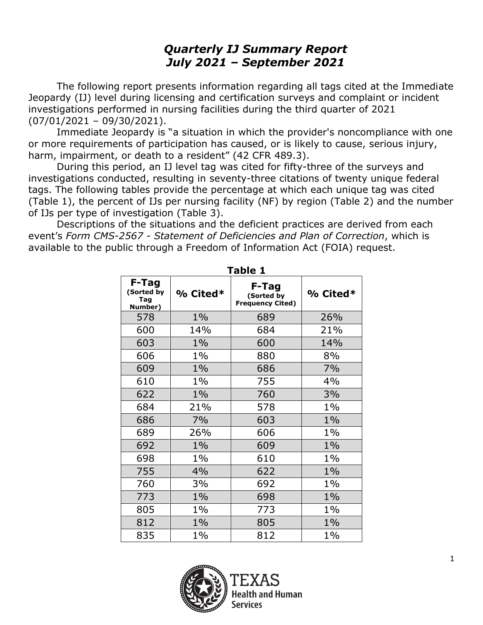## *Quarterly IJ Summary Report July 2021 – September 2021*

The following report presents information regarding all tags cited at the Immediate Jeopardy (IJ) level during licensing and certification surveys and complaint or incident investigations performed in nursing facilities during the third quarter of 2021 (07/01/2021 – 09/30/2021).

Immediate Jeopardy is "a situation in which the provider's noncompliance with one or more requirements of participation has caused, or is likely to cause, serious injury, harm, impairment, or death to a resident" (42 CFR 489.3).

During this period, an IJ level tag was cited for fifty-three of the surveys and investigations conducted, resulting in seventy-three citations of twenty unique federal tags. The following tables provide the percentage at which each unique tag was cited (Table 1), the percent of IJs per nursing facility (NF) by region (Table 2) and the number of IJs per type of investigation (Table 3).

Descriptions of the situations and the deficient practices are derived from each event's *Form CMS-2567 - Statement of Deficiencies and Plan of Correction*, which is available to the public through a Freedom of Information Act (FOIA) request.

|                                       | I ANIC T   |                                                |          |  |  |
|---------------------------------------|------------|------------------------------------------------|----------|--|--|
| F-Tag<br>(Sorted by<br>Tag<br>Number) | $%$ Cited* | F-Tag<br>(Sorted by<br><b>Frequency Cited)</b> | % Cited* |  |  |
| 578                                   | $1\%$      | 689                                            | 26%      |  |  |
| 600                                   | 14%        | 684                                            | 21%      |  |  |
| 603                                   | $1\%$      | 600                                            | 14%      |  |  |
| 606                                   | $1\%$      | 880                                            | 8%       |  |  |
| 609                                   | $1\%$      | 686                                            | 7%       |  |  |
| 610                                   | $1\%$      | 755                                            | 4%       |  |  |
| 622                                   | $1\%$      | 760                                            | 3%       |  |  |
| 684                                   | 21%        | 578                                            | $1\%$    |  |  |
| 686                                   | 7%         | 603                                            | $1\%$    |  |  |
| 689                                   | 26%        | 606                                            | $1\%$    |  |  |
| 692                                   | $1\%$      | 609                                            | $1\%$    |  |  |
| 698                                   | $1\%$      | 610                                            | $1\%$    |  |  |
| 755                                   | 4%         | 622                                            | $1\%$    |  |  |
| 760                                   | 3%         | 692                                            | $1\%$    |  |  |
| 773                                   | $1\%$      | 698                                            | $1\%$    |  |  |
| 805                                   | $1\%$      | 773                                            | $1\%$    |  |  |
| 812                                   | $1\%$      | 805                                            | $1\%$    |  |  |
| 835                                   | $1\%$      | 812                                            | $1\%$    |  |  |



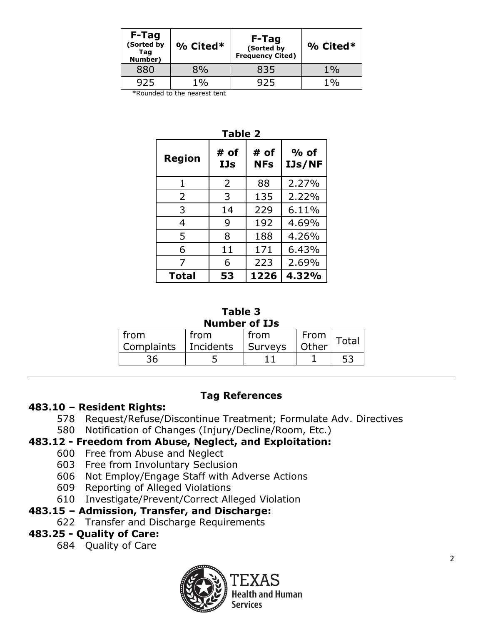| F-Tag<br>(Sorted by<br>Tag<br>Number) | $%$ Cited* | F-Tag<br>(Sorted by<br><b>Frequency Cited)</b> | $%$ Cited* |
|---------------------------------------|------------|------------------------------------------------|------------|
| 880                                   | 8%         | 835                                            | $1\%$      |
|                                       | $1\%$      | 925                                            | 1%         |
|                                       |            |                                                |            |

\*Rounded to the nearest tent

| ш | ۱. | M.<br>۰. |  |
|---|----|----------|--|
|---|----|----------|--|

| <b>Region</b> | # of<br>IJs | # of<br><b>NFs</b> | $%$ of<br><b>IJs/NF</b> |
|---------------|-------------|--------------------|-------------------------|
| 1             | 2           | 88                 | 2.27%                   |
| 2             | 3           | 135                | 2.22%                   |
| 3             | 14          | 229                | 6.11%                   |
| 4             | 9           | 192                | 4.69%                   |
| 5             | 8           | 188                | 4.26%                   |
| 6             | 11          | 171                | 6.43%                   |
| 7             | 6           | 223                | 2.69%                   |
| <b>Total</b>  | 53          | 1226               | 4.32%                   |

#### **Table 3 Number of IJs**

| .                  |                   |                 |               |              |
|--------------------|-------------------|-----------------|---------------|--------------|
| from<br>Complaints | from<br>Incidents | from<br>Surveys | From<br>Other | <b>Total</b> |
| 36                 |                   |                 |               |              |

#### **Tag References**

#### **483.10 – Resident Rights:**

- 578 Request/Refuse/Discontinue Treatment; Formulate Adv. Directives
- 580 Notification of Changes (Injury/Decline/Room, Etc.)

## **483.12 - Freedom from Abuse, Neglect, and Exploitation:**

- 600 Free from Abuse and Neglect
- 603 Free from Involuntary Seclusion
- 606 Not Employ/Engage Staff with Adverse Actions
- 609 Reporting of Alleged Violations
- 610 Investigate/Prevent/Correct Alleged Violation

## **483.15 – Admission, Transfer, and Discharge:**

622 Transfer and Discharge Requirements

## **483.25 - Quality of Care:**

684 Quality of Care

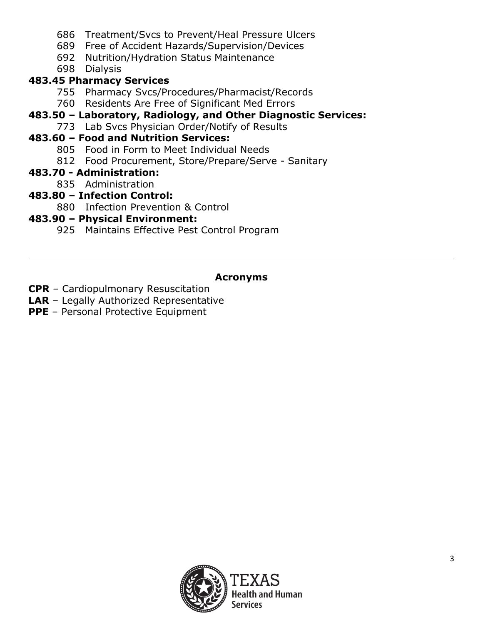- 686 Treatment/Svcs to Prevent/Heal Pressure Ulcers
- 689 Free of Accident Hazards/Supervision/Devices
- 692 Nutrition/Hydration Status Maintenance
- 698 Dialysis

## **483.45 Pharmacy Services**

- 755 Pharmacy Svcs/Procedures/Pharmacist/Records
- 760 Residents Are Free of Significant Med Errors
- **483.50 – Laboratory, Radiology, and Other Diagnostic Services:**
	- 773 Lab Svcs Physician Order/Notify of Results

# **483.60 – Food and Nutrition Services:**

- 805 Food in Form to Meet Individual Needs
- 812 Food Procurement, Store/Prepare/Serve Sanitary

## **483.70 - Administration:**

- 835 Administration
- **483.80 – Infection Control:**
	- 880 Infection Prevention & Control

## **483.90 – Physical Environment:**

925 Maintains Effective Pest Control Program

## **Acronyms**

- **CPR** Cardiopulmonary Resuscitation
- **LAR** Legally Authorized Representative
- **PPE** Personal Protective Equipment

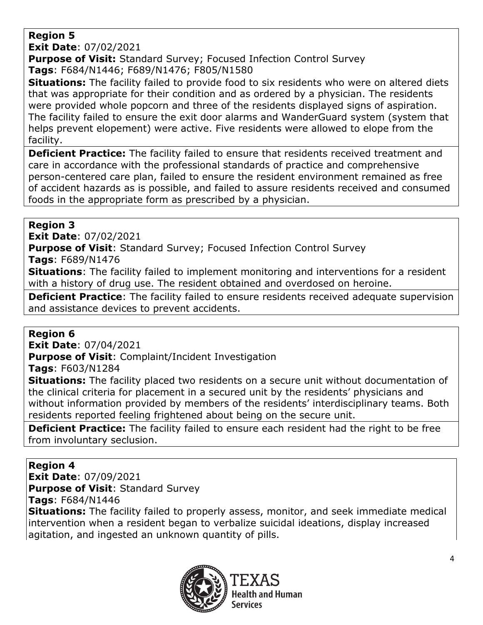## **Region 5**

**Exit Date**: 07/02/2021

**Purpose of Visit:** Standard Survey; Focused Infection Control Survey **Tags**: F684/N1446; F689/N1476; F805/N1580

**Situations:** The facility failed to provide food to six residents who were on altered diets that was appropriate for their condition and as ordered by a physician. The residents were provided whole popcorn and three of the residents displayed signs of aspiration. The facility failed to ensure the exit door alarms and WanderGuard system (system that helps prevent elopement) were active. Five residents were allowed to elope from the facility.

**Deficient Practice:** The facility failed to ensure that residents received treatment and care in accordance with the professional standards of practice and comprehensive person-centered care plan, failed to ensure the resident environment remained as free of accident hazards as is possible, and failed to assure residents received and consumed foods in the appropriate form as prescribed by a physician.

## **Region 3**

**Exit Date**: 07/02/2021

**Purpose of Visit**: Standard Survey; Focused Infection Control Survey **Tags**: F689/N1476

**Situations**: The facility failed to implement monitoring and interventions for a resident with a history of drug use. The resident obtained and overdosed on heroine.

**Deficient Practice**: The facility failed to ensure residents received adequate supervision and assistance devices to prevent accidents.

## **Region 6**

**Exit Date**: 07/04/2021

**Purpose of Visit**: Complaint/Incident Investigation

**Tags**: F603/N1284

**Situations:** The facility placed two residents on a secure unit without documentation of the clinical criteria for placement in a secured unit by the residents' physicians and without information provided by members of the residents' interdisciplinary teams. Both residents reported feeling frightened about being on the secure unit.

**Deficient Practice:** The facility failed to ensure each resident had the right to be free from involuntary seclusion.

## **Region 4**

**Exit Date**: 07/09/2021

**Purpose of Visit**: Standard Survey

**Tags**: F684/N1446

**Situations:** The facility failed to properly assess, monitor, and seek immediate medical intervention when a resident began to verbalize suicidal ideations, display increased agitation, and ingested an unknown quantity of pills.



4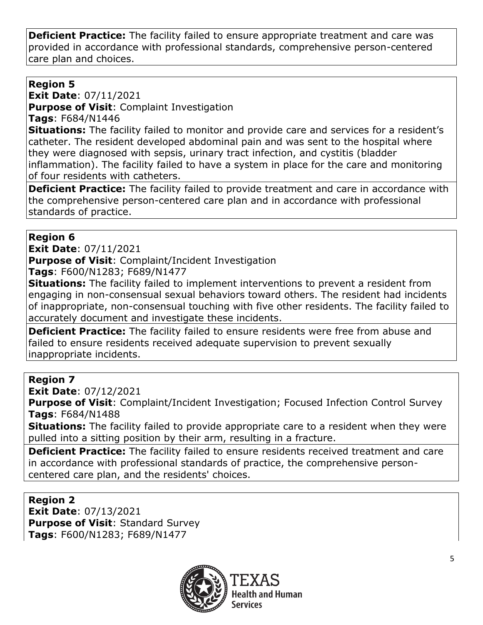**Deficient Practice:** The facility failed to ensure appropriate treatment and care was provided in accordance with professional standards, comprehensive person-centered care plan and choices.

## **Region 5**

**Exit Date**: 07/11/2021

**Purpose of Visit**: Complaint Investigation

**Tags**: F684/N1446

**Situations:** The facility failed to monitor and provide care and services for a resident's catheter. The resident developed abdominal pain and was sent to the hospital where they were diagnosed with sepsis, urinary tract infection, and cystitis (bladder inflammation). The facility failed to have a system in place for the care and monitoring of four residents with catheters.

**Deficient Practice:** The facility failed to provide treatment and care in accordance with the comprehensive person-centered care plan and in accordance with professional standards of practice.

#### **Region 6**

**Exit Date**: 07/11/2021

**Purpose of Visit**: Complaint/Incident Investigation

**Tags**: F600/N1283; F689/N1477

**Situations:** The facility failed to implement interventions to prevent a resident from engaging in non-consensual sexual behaviors toward others. The resident had incidents of inappropriate, non-consensual touching with five other residents. The facility failed to accurately document and investigate these incidents.

**Deficient Practice:** The facility failed to ensure residents were free from abuse and failed to ensure residents received adequate supervision to prevent sexually inappropriate incidents.

## **Region 7**

**Exit Date**: 07/12/2021

**Purpose of Visit:** Complaint/Incident Investigation; Focused Infection Control Survey **Tags**: F684/N1488

**Situations:** The facility failed to provide appropriate care to a resident when they were pulled into a sitting position by their arm, resulting in a fracture.

**Deficient Practice:** The facility failed to ensure residents received treatment and care in accordance with professional standards of practice, the comprehensive personcentered care plan, and the residents' choices.

**Region 2 Exit Date**: 07/13/2021 **Purpose of Visit**: Standard Survey **Tags**: F600/N1283; F689/N1477

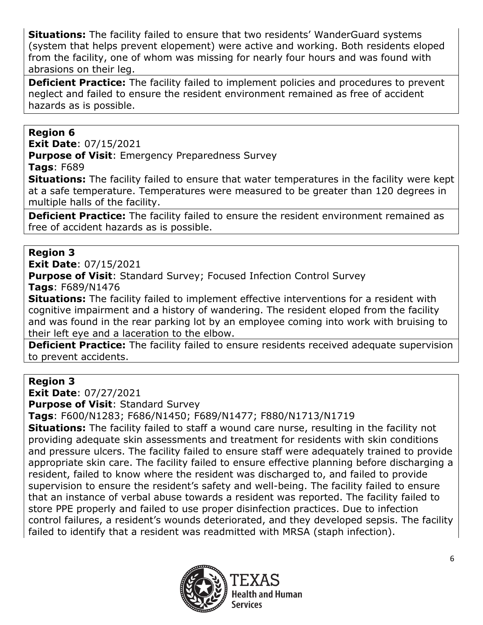**Situations:** The facility failed to ensure that two residents' WanderGuard systems (system that helps prevent elopement) were active and working. Both residents eloped from the facility, one of whom was missing for nearly four hours and was found with abrasions on their leg.

**Deficient Practice:** The facility failed to implement policies and procedures to prevent neglect and failed to ensure the resident environment remained as free of accident hazards as is possible.

#### **Region 6**

**Exit Date**: 07/15/2021

**Purpose of Visit: Emergency Preparedness Survey Tags**: F689

**Situations:** The facility failed to ensure that water temperatures in the facility were kept at a safe temperature. Temperatures were measured to be greater than 120 degrees in multiple halls of the facility.

**Deficient Practice:** The facility failed to ensure the resident environment remained as free of accident hazards as is possible.

#### **Region 3**

**Exit Date**: 07/15/2021

**Purpose of Visit**: Standard Survey; Focused Infection Control Survey **Tags**: F689/N1476

**Situations:** The facility failed to implement effective interventions for a resident with cognitive impairment and a history of wandering. The resident eloped from the facility and was found in the rear parking lot by an employee coming into work with bruising to their left eye and a laceration to the elbow.

**Deficient Practice:** The facility failed to ensure residents received adequate supervision to prevent accidents.

#### **Region 3**

**Exit Date**: 07/27/2021

**Purpose of Visit**: Standard Survey

**Tags**: F600/N1283; F686/N1450; F689/N1477; F880/N1713/N1719

**Situations:** The facility failed to staff a wound care nurse, resulting in the facility not providing adequate skin assessments and treatment for residents with skin conditions and pressure ulcers. The facility failed to ensure staff were adequately trained to provide appropriate skin care. The facility failed to ensure effective planning before discharging a resident, failed to know where the resident was discharged to, and failed to provide supervision to ensure the resident's safety and well-being. The facility failed to ensure that an instance of verbal abuse towards a resident was reported. The facility failed to store PPE properly and failed to use proper disinfection practices. Due to infection control failures, a resident's wounds deteriorated, and they developed sepsis. The facility failed to identify that a resident was readmitted with MRSA (staph infection).



lealth and Human **Services**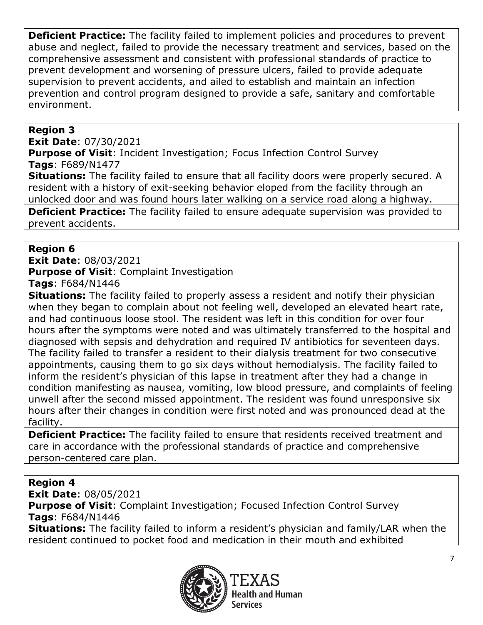**Deficient Practice:** The facility failed to implement policies and procedures to prevent abuse and neglect, failed to provide the necessary treatment and services, based on the comprehensive assessment and consistent with professional standards of practice to prevent development and worsening of pressure ulcers, failed to provide adequate supervision to prevent accidents, and ailed to establish and maintain an infection prevention and control program designed to provide a safe, sanitary and comfortable environment.

## **Region 3**

**Exit Date**: 07/30/2021

**Purpose of Visit**: Incident Investigation; Focus Infection Control Survey **Tags**: F689/N1477

**Situations:** The facility failed to ensure that all facility doors were properly secured. A resident with a history of exit-seeking behavior eloped from the facility through an unlocked door and was found hours later walking on a service road along a highway.

**Deficient Practice:** The facility failed to ensure adequate supervision was provided to prevent accidents.

## **Region 6**

**Exit Date**: 08/03/2021 **Purpose of Visit**: Complaint Investigation **Tags**: F684/N1446

**Situations:** The facility failed to properly assess a resident and notify their physician when they began to complain about not feeling well, developed an elevated heart rate, and had continuous loose stool. The resident was left in this condition for over four hours after the symptoms were noted and was ultimately transferred to the hospital and diagnosed with sepsis and dehydration and required IV antibiotics for seventeen days. The facility failed to transfer a resident to their dialysis treatment for two consecutive appointments, causing them to go six days without hemodialysis. The facility failed to inform the resident's physician of this lapse in treatment after they had a change in condition manifesting as nausea, vomiting, low blood pressure, and complaints of feeling unwell after the second missed appointment. The resident was found unresponsive six hours after their changes in condition were first noted and was pronounced dead at the facility.

**Deficient Practice:** The facility failed to ensure that residents received treatment and care in accordance with the professional standards of practice and comprehensive person-centered care plan.

## **Region 4**

**Exit Date**: 08/05/2021 **Purpose of Visit**: Complaint Investigation; Focused Infection Control Survey **Tags**: F684/N1446

**Situations:** The facility failed to inform a resident's physician and family/LAR when the resident continued to pocket food and medication in their mouth and exhibited

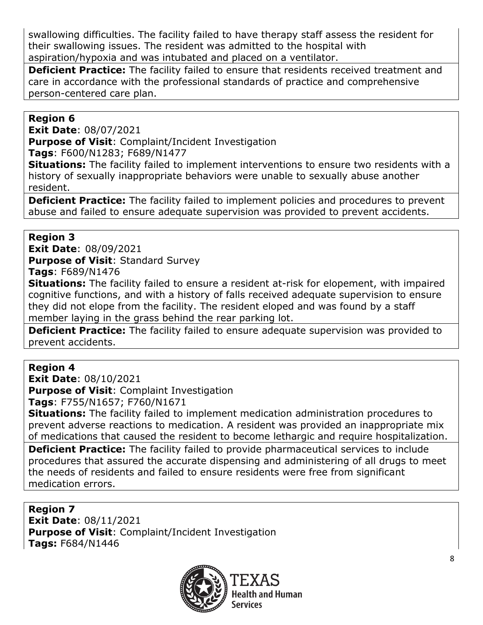swallowing difficulties. The facility failed to have therapy staff assess the resident for their swallowing issues. The resident was admitted to the hospital with aspiration/hypoxia and was intubated and placed on a ventilator.

**Deficient Practice:** The facility failed to ensure that residents received treatment and care in accordance with the professional standards of practice and comprehensive person-centered care plan.

#### **Region 6**

**Exit Date**: 08/07/2021

**Purpose of Visit**: Complaint/Incident Investigation

**Tags**: F600/N1283; F689/N1477

**Situations:** The facility failed to implement interventions to ensure two residents with a history of sexually inappropriate behaviors were unable to sexually abuse another resident.

**Deficient Practice:** The facility failed to implement policies and procedures to prevent abuse and failed to ensure adequate supervision was provided to prevent accidents.

#### **Region 3**

**Exit Date**: 08/09/2021 **Purpose of Visit**: Standard Survey **Tags**: F689/N1476

**Situations:** The facility failed to ensure a resident at-risk for elopement, with impaired cognitive functions, and with a history of falls received adequate supervision to ensure they did not elope from the facility. The resident eloped and was found by a staff member laying in the grass behind the rear parking lot.

**Deficient Practice:** The facility failed to ensure adequate supervision was provided to prevent accidents.

#### **Region 4**

**Exit Date**: 08/10/2021

**Purpose of Visit**: Complaint Investigation

**Tags**: F755/N1657; F760/N1671

**Situations:** The facility failed to implement medication administration procedures to prevent adverse reactions to medication. A resident was provided an inappropriate mix of medications that caused the resident to become lethargic and require hospitalization.

**Deficient Practice:** The facility failed to provide pharmaceutical services to include procedures that assured the accurate dispensing and administering of all drugs to meet the needs of residents and failed to ensure residents were free from significant medication errors.

#### **Region 7**

**Exit Date**: 08/11/2021 **Purpose of Visit**: Complaint/Incident Investigation **Tags:** F684/N1446

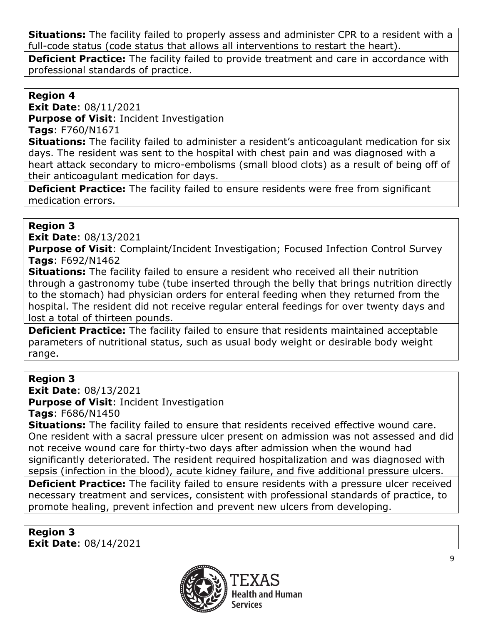**Situations:** The facility failed to properly assess and administer CPR to a resident with a full-code status (code status that allows all interventions to restart the heart).

**Deficient Practice:** The facility failed to provide treatment and care in accordance with professional standards of practice.

#### **Region 4**

**Exit Date**: 08/11/2021 **Purpose of Visit**: Incident Investigation

**Tags**: F760/N1671

**Situations:** The facility failed to administer a resident's anticoagulant medication for six days. The resident was sent to the hospital with chest pain and was diagnosed with a heart attack secondary to micro-embolisms (small blood clots) as a result of being off of their anticoagulant medication for days.

**Deficient Practice:** The facility failed to ensure residents were free from significant medication errors.

#### **Region 3**

**Exit Date**: 08/13/2021

**Purpose of Visit:** Complaint/Incident Investigation; Focused Infection Control Survey **Tags**: F692/N1462

**Situations:** The facility failed to ensure a resident who received all their nutrition through a gastronomy tube (tube inserted through the belly that brings nutrition directly to the stomach) had physician orders for enteral feeding when they returned from the hospital. The resident did not receive regular enteral feedings for over twenty days and lost a total of thirteen pounds.

**Deficient Practice:** The facility failed to ensure that residents maintained acceptable parameters of nutritional status, such as usual body weight or desirable body weight range.

**Region 3 Exit Date**: 08/13/2021 **Purpose of Visit**: Incident Investigation **Tags**: F686/N1450

**Situations:** The facility failed to ensure that residents received effective wound care. One resident with a sacral pressure ulcer present on admission was not assessed and did not receive wound care for thirty-two days after admission when the wound had significantly deteriorated. The resident required hospitalization and was diagnosed with sepsis (infection in the blood), acute kidney failure, and five additional pressure ulcers.

**Deficient Practice:** The facility failed to ensure residents with a pressure ulcer received necessary treatment and services, consistent with professional standards of practice, to promote healing, prevent infection and prevent new ulcers from developing.

**Region 3 Exit Date**: 08/14/2021

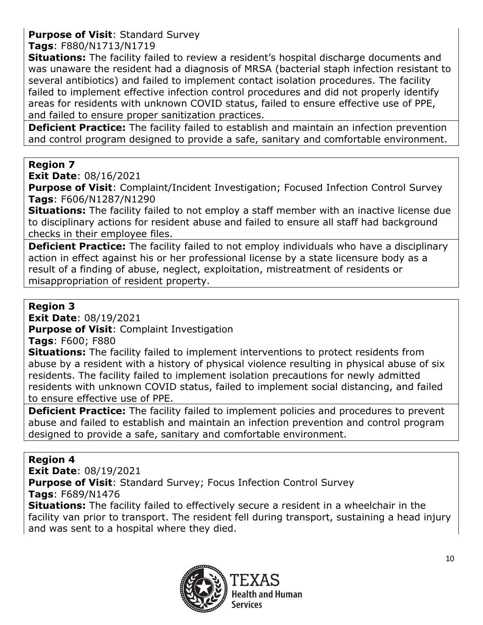## **Purpose of Visit**: Standard Survey

**Tags**: F880/N1713/N1719

**Situations:** The facility failed to review a resident's hospital discharge documents and was unaware the resident had a diagnosis of MRSA (bacterial staph infection resistant to several antibiotics) and failed to implement contact isolation procedures. The facility failed to implement effective infection control procedures and did not properly identify areas for residents with unknown COVID status, failed to ensure effective use of PPE, and failed to ensure proper sanitization practices.

**Deficient Practice:** The facility failed to establish and maintain an infection prevention and control program designed to provide a safe, sanitary and comfortable environment.

## **Region 7**

**Exit Date**: 08/16/2021

**Purpose of Visit:** Complaint/Incident Investigation; Focused Infection Control Survey **Tags**: F606/N1287/N1290

**Situations:** The facility failed to not employ a staff member with an inactive license due to disciplinary actions for resident abuse and failed to ensure all staff had background checks in their employee files.

**Deficient Practice:** The facility failed to not employ individuals who have a disciplinary action in effect against his or her professional license by a state licensure body as a result of a finding of abuse, neglect, exploitation, mistreatment of residents or misappropriation of resident property.

## **Region 3**

**Exit Date**: 08/19/2021

**Purpose of Visit**: Complaint Investigation

**Tags**: F600; F880

**Situations:** The facility failed to implement interventions to protect residents from abuse by a resident with a history of physical violence resulting in physical abuse of six residents. The facility failed to implement isolation precautions for newly admitted residents with unknown COVID status, failed to implement social distancing, and failed to ensure effective use of PPE.

**Deficient Practice:** The facility failed to implement policies and procedures to prevent abuse and failed to establish and maintain an infection prevention and control program designed to provide a safe, sanitary and comfortable environment.

## **Region 4**

**Exit Date**: 08/19/2021

**Purpose of Visit: Standard Survey; Focus Infection Control Survey Tags**: F689/N1476

**Situations:** The facility failed to effectively secure a resident in a wheelchair in the facility van prior to transport. The resident fell during transport, sustaining a head injury and was sent to a hospital where they died.

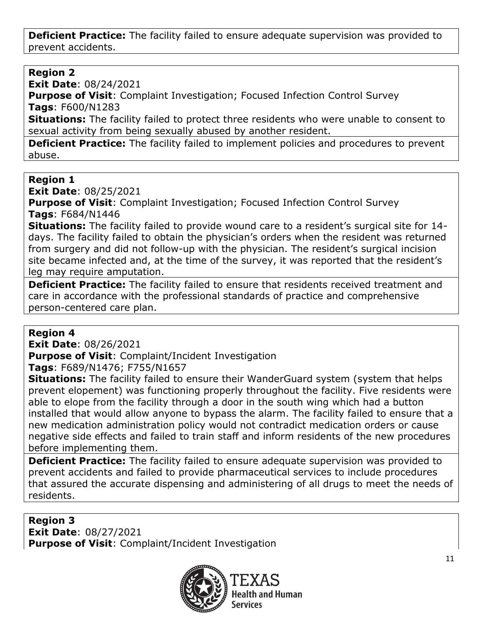**Deficient Practice:** The facility failed to ensure adequate supervision was provided to prevent accidents.

#### **Region 2**

**Exit Date**: 08/24/2021

**Purpose of Visit**: Complaint Investigation; Focused Infection Control Survey **Tags**: F600/N1283

**Situations:** The facility failed to protect three residents who were unable to consent to sexual activity from being sexually abused by another resident.

**Deficient Practice:** The facility failed to implement policies and procedures to prevent abuse.

## **Region 1**

**Exit Date**: 08/25/2021

**Purpose of Visit**: Complaint Investigation; Focused Infection Control Survey **Tags**: F684/N1446

**Situations:** The facility failed to provide wound care to a resident's surgical site for 14 days. The facility failed to obtain the physician's orders when the resident was returned from surgery and did not follow-up with the physician. The resident's surgical incision site became infected and, at the time of the survey, it was reported that the resident's leg may require amputation.

**Deficient Practice:** The facility failed to ensure that residents received treatment and care in accordance with the professional standards of practice and comprehensive person-centered care plan.

## **Region 4**

**Exit Date**: 08/26/2021

**Purpose of Visit**: Complaint/Incident Investigation

**Tags**: F689/N1476; F755/N1657

**Situations:** The facility failed to ensure their WanderGuard system (system that helps prevent elopement) was functioning properly throughout the facility. Five residents were able to elope from the facility through a door in the south wing which had a button installed that would allow anyone to bypass the alarm. The facility failed to ensure that a new medication administration policy would not contradict medication orders or cause negative side effects and failed to train staff and inform residents of the new procedures before implementing them.

**Deficient Practice:** The facility failed to ensure adequate supervision was provided to prevent accidents and failed to provide pharmaceutical services to include procedures that assured the accurate dispensing and administering of all drugs to meet the needs of residents.

**Region 3 Exit Date**: 08/27/2021 **Purpose of Visit**: Complaint/Incident Investigation

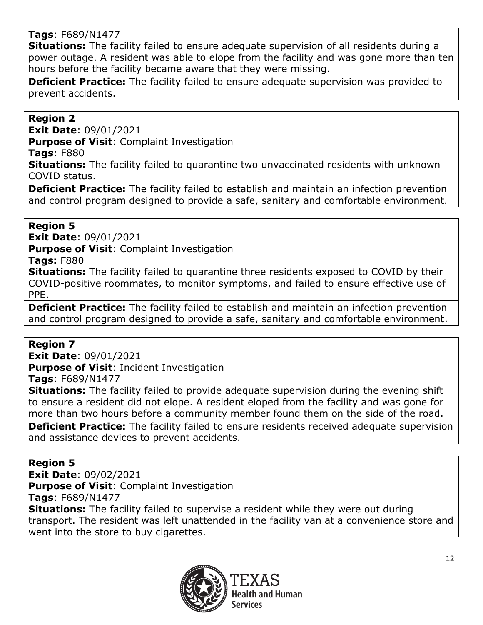#### **Tags**: F689/N1477

**Situations:** The facility failed to ensure adequate supervision of all residents during a power outage. A resident was able to elope from the facility and was gone more than ten hours before the facility became aware that they were missing.

**Deficient Practice:** The facility failed to ensure adequate supervision was provided to prevent accidents.

#### **Region 2**

**Exit Date**: 09/01/2021 **Purpose of Visit**: Complaint Investigation

**Tags**: F880

**Situations:** The facility failed to quarantine two unvaccinated residents with unknown COVID status.

**Deficient Practice:** The facility failed to establish and maintain an infection prevention and control program designed to provide a safe, sanitary and comfortable environment.

#### **Region 5**

**Exit Date**: 09/01/2021

**Purpose of Visit**: Complaint Investigation

**Tags:** F880

**Situations:** The facility failed to quarantine three residents exposed to COVID by their COVID-positive roommates, to monitor symptoms, and failed to ensure effective use of PPE.

**Deficient Practice:** The facility failed to establish and maintain an infection prevention and control program designed to provide a safe, sanitary and comfortable environment.

## **Region 7**

**Exit Date**: 09/01/2021 **Purpose of Visit**: Incident Investigation

**Tags**: F689/N1477

**Situations:** The facility failed to provide adequate supervision during the evening shift to ensure a resident did not elope. A resident eloped from the facility and was gone for more than two hours before a community member found them on the side of the road.

**Deficient Practice:** The facility failed to ensure residents received adequate supervision and assistance devices to prevent accidents.

#### **Region 5**

**Exit Date**: 09/02/2021

**Purpose of Visit**: Complaint Investigation

**Tags**: F689/N1477

**Situations:** The facility failed to supervise a resident while they were out during transport. The resident was left unattended in the facility van at a convenience store and went into the store to buy cigarettes.

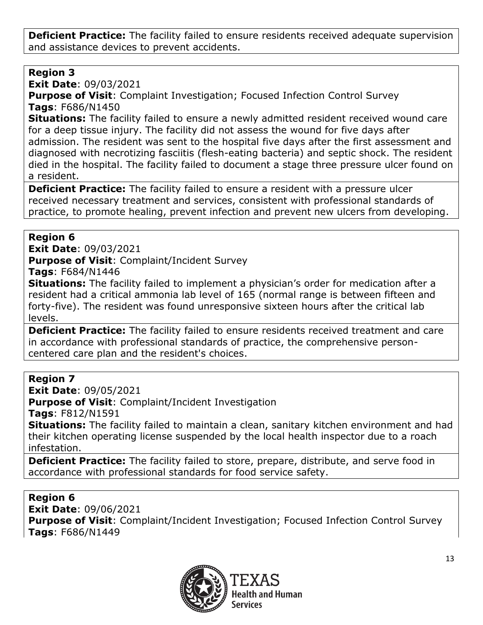**Deficient Practice:** The facility failed to ensure residents received adequate supervision and assistance devices to prevent accidents.

#### **Region 3**

**Exit Date**: 09/03/2021

**Purpose of Visit**: Complaint Investigation; Focused Infection Control Survey **Tags**: F686/N1450

**Situations:** The facility failed to ensure a newly admitted resident received wound care for a deep tissue injury. The facility did not assess the wound for five days after admission. The resident was sent to the hospital five days after the first assessment and diagnosed with necrotizing fasciitis (flesh-eating bacteria) and septic shock. The resident died in the hospital. The facility failed to document a stage three pressure ulcer found on a resident.

**Deficient Practice:** The facility failed to ensure a resident with a pressure ulcer received necessary treatment and services, consistent with professional standards of practice, to promote healing, prevent infection and prevent new ulcers from developing.

#### **Region 6**

**Exit Date**: 09/03/2021

**Purpose of Visit**: Complaint/Incident Survey

**Tags**: F684/N1446

**Situations:** The facility failed to implement a physician's order for medication after a resident had a critical ammonia lab level of 165 (normal range is between fifteen and forty-five). The resident was found unresponsive sixteen hours after the critical lab levels.

**Deficient Practice:** The facility failed to ensure residents received treatment and care in accordance with professional standards of practice, the comprehensive personcentered care plan and the resident's choices.

## **Region 7**

**Exit Date**: 09/05/2021 **Purpose of Visit**: Complaint/Incident Investigation **Tags**: F812/N1591

**Situations:** The facility failed to maintain a clean, sanitary kitchen environment and had their kitchen operating license suspended by the local health inspector due to a roach infestation.

**Deficient Practice:** The facility failed to store, prepare, distribute, and serve food in accordance with professional standards for food service safety.

#### **Region 6**

**Exit Date**: 09/06/2021 **Purpose of Visit:** Complaint/Incident Investigation; Focused Infection Control Survey **Tags**: F686/N1449

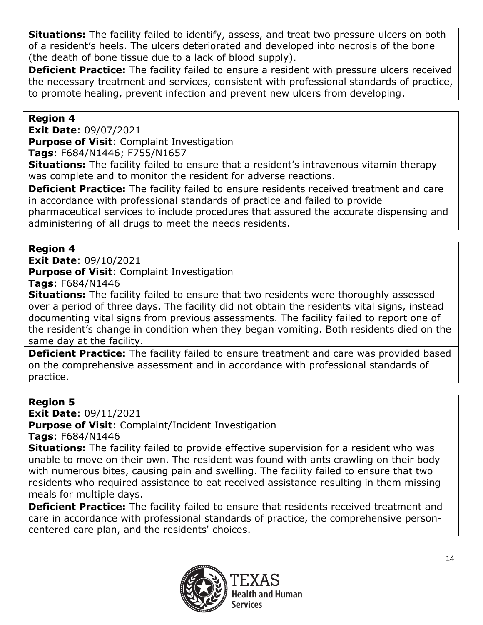**Situations:** The facility failed to identify, assess, and treat two pressure ulcers on both of a resident's heels. The ulcers deteriorated and developed into necrosis of the bone (the death of bone tissue due to a lack of blood supply).

**Deficient Practice:** The facility failed to ensure a resident with pressure ulcers received the necessary treatment and services, consistent with professional standards of practice, to promote healing, prevent infection and prevent new ulcers from developing.

### **Region 4**

**Exit Date**: 09/07/2021 **Purpose of Visit**: Complaint Investigation

**Tags**: F684/N1446; F755/N1657

**Situations:** The facility failed to ensure that a resident's intravenous vitamin therapy was complete and to monitor the resident for adverse reactions.

**Deficient Practice:** The facility failed to ensure residents received treatment and care in accordance with professional standards of practice and failed to provide pharmaceutical services to include procedures that assured the accurate dispensing and administering of all drugs to meet the needs residents.

## **Region 4**

**Exit Date**: 09/10/2021 **Purpose of Visit**: Complaint Investigation **Tags**: F684/N1446

**Situations:** The facility failed to ensure that two residents were thoroughly assessed over a period of three days. The facility did not obtain the residents vital signs, instead documenting vital signs from previous assessments. The facility failed to report one of the resident's change in condition when they began vomiting. Both residents died on the same day at the facility.

**Deficient Practice:** The facility failed to ensure treatment and care was provided based on the comprehensive assessment and in accordance with professional standards of practice.

## **Region 5**

**Exit Date**: 09/11/2021 **Purpose of Visit**: Complaint/Incident Investigation

**Tags**: F684/N1446

**Situations:** The facility failed to provide effective supervision for a resident who was unable to move on their own. The resident was found with ants crawling on their body with numerous bites, causing pain and swelling. The facility failed to ensure that two residents who required assistance to eat received assistance resulting in them missing meals for multiple days.

**Deficient Practice:** The facility failed to ensure that residents received treatment and care in accordance with professional standards of practice, the comprehensive personcentered care plan, and the residents' choices.

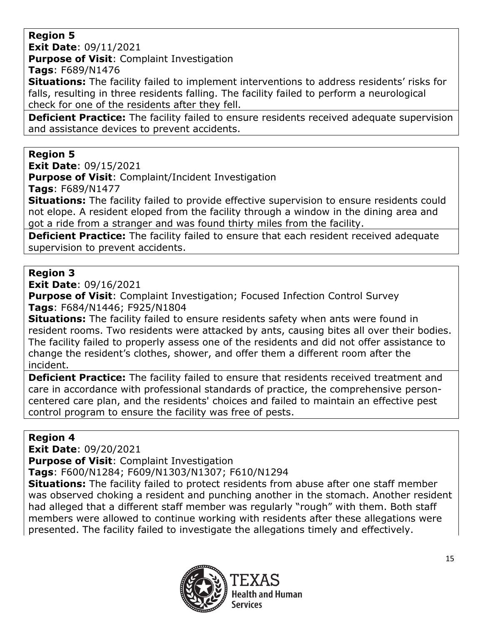## **Region 5**

**Exit Date**: 09/11/2021

**Purpose of Visit**: Complaint Investigation

**Tags**: F689/N1476

**Situations:** The facility failed to implement interventions to address residents' risks for falls, resulting in three residents falling. The facility failed to perform a neurological check for one of the residents after they fell.

**Deficient Practice:** The facility failed to ensure residents received adequate supervision and assistance devices to prevent accidents.

## **Region 5**

**Exit Date**: 09/15/2021

**Purpose of Visit**: Complaint/Incident Investigation

**Tags**: F689/N1477

**Situations:** The facility failed to provide effective supervision to ensure residents could not elope. A resident eloped from the facility through a window in the dining area and got a ride from a stranger and was found thirty miles from the facility.

**Deficient Practice:** The facility failed to ensure that each resident received adequate supervision to prevent accidents.

## **Region 3**

**Exit Date**: 09/16/2021

**Purpose of Visit**: Complaint Investigation; Focused Infection Control Survey **Tags**: F684/N1446; F925/N1804

**Situations:** The facility failed to ensure residents safety when ants were found in resident rooms. Two residents were attacked by ants, causing bites all over their bodies. The facility failed to properly assess one of the residents and did not offer assistance to change the resident's clothes, shower, and offer them a different room after the incident.

**Deficient Practice:** The facility failed to ensure that residents received treatment and care in accordance with professional standards of practice, the comprehensive personcentered care plan, and the residents' choices and failed to maintain an effective pest control program to ensure the facility was free of pests.

## **Region 4**

**Exit Date**: 09/20/2021

**Purpose of Visit**: Complaint Investigation

**Tags**: F600/N1284; F609/N1303/N1307; F610/N1294

**Situations:** The facility failed to protect residents from abuse after one staff member was observed choking a resident and punching another in the stomach. Another resident had alleged that a different staff member was regularly "rough" with them. Both staff members were allowed to continue working with residents after these allegations were presented. The facility failed to investigate the allegations timely and effectively.

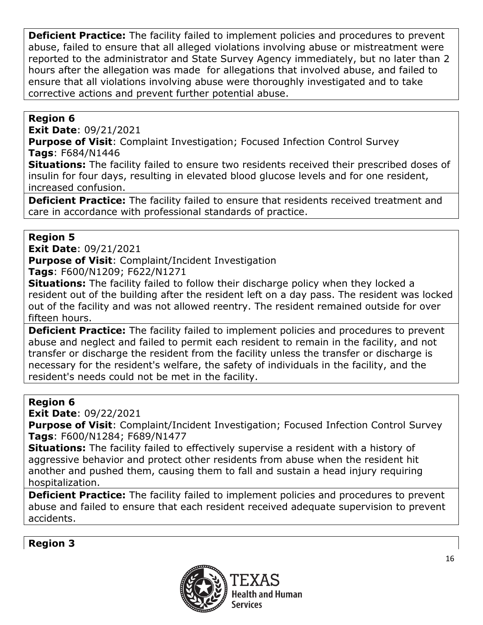**Deficient Practice:** The facility failed to implement policies and procedures to prevent abuse, failed to ensure that all alleged violations involving abuse or mistreatment were reported to the administrator and State Survey Agency immediately, but no later than 2 hours after the allegation was made for allegations that involved abuse, and failed to ensure that all violations involving abuse were thoroughly investigated and to take corrective actions and prevent further potential abuse.

#### **Region 6**

**Exit Date**: 09/21/2021

**Purpose of Visit**: Complaint Investigation; Focused Infection Control Survey **Tags**: F684/N1446

**Situations:** The facility failed to ensure two residents received their prescribed doses of insulin for four days, resulting in elevated blood glucose levels and for one resident, increased confusion.

**Deficient Practice:** The facility failed to ensure that residents received treatment and care in accordance with professional standards of practice.

#### **Region 5**

**Exit Date**: 09/21/2021

**Purpose of Visit**: Complaint/Incident Investigation

**Tags**: F600/N1209; F622/N1271

**Situations:** The facility failed to follow their discharge policy when they locked a resident out of the building after the resident left on a day pass. The resident was locked out of the facility and was not allowed reentry. The resident remained outside for over fifteen hours.

**Deficient Practice:** The facility failed to implement policies and procedures to prevent abuse and neglect and failed to permit each resident to remain in the facility, and not transfer or discharge the resident from the facility unless the transfer or discharge is necessary for the resident's welfare, the safety of individuals in the facility, and the resident's needs could not be met in the facility.

## **Region 6**

**Exit Date**: 09/22/2021

**Purpose of Visit**: Complaint/Incident Investigation; Focused Infection Control Survey **Tags**: F600/N1284; F689/N1477

**Situations:** The facility failed to effectively supervise a resident with a history of aggressive behavior and protect other residents from abuse when the resident hit another and pushed them, causing them to fall and sustain a head injury requiring hospitalization.

**Deficient Practice:** The facility failed to implement policies and procedures to prevent abuse and failed to ensure that each resident received adequate supervision to prevent accidents.

#### **Region 3**

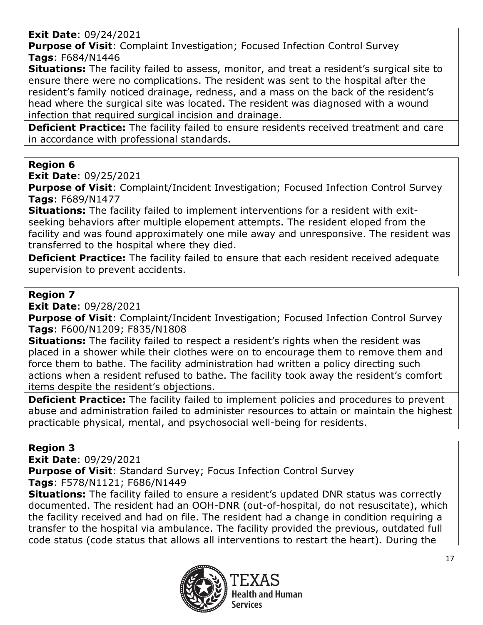## **Exit Date**: 09/24/2021

**Purpose of Visit**: Complaint Investigation; Focused Infection Control Survey **Tags**: F684/N1446

**Situations:** The facility failed to assess, monitor, and treat a resident's surgical site to ensure there were no complications. The resident was sent to the hospital after the resident's family noticed drainage, redness, and a mass on the back of the resident's head where the surgical site was located. The resident was diagnosed with a wound infection that required surgical incision and drainage.

**Deficient Practice:** The facility failed to ensure residents received treatment and care in accordance with professional standards.

## **Region 6**

**Exit Date**: 09/25/2021

**Purpose of Visit:** Complaint/Incident Investigation; Focused Infection Control Survey **Tags**: F689/N1477

**Situations:** The facility failed to implement interventions for a resident with exitseeking behaviors after multiple elopement attempts. The resident eloped from the facility and was found approximately one mile away and unresponsive. The resident was transferred to the hospital where they died.

**Deficient Practice:** The facility failed to ensure that each resident received adequate supervision to prevent accidents.

#### **Region 7**

**Exit Date**: 09/28/2021

**Purpose of Visit**: Complaint/Incident Investigation; Focused Infection Control Survey **Tags**: F600/N1209; F835/N1808

**Situations:** The facility failed to respect a resident's rights when the resident was placed in a shower while their clothes were on to encourage them to remove them and force them to bathe. The facility administration had written a policy directing such actions when a resident refused to bathe. The facility took away the resident's comfort items despite the resident's objections.

**Deficient Practice:** The facility failed to implement policies and procedures to prevent abuse and administration failed to administer resources to attain or maintain the highest practicable physical, mental, and psychosocial well-being for residents.

## **Region 3**

**Exit Date**: 09/29/2021

**Purpose of Visit: Standard Survey; Focus Infection Control Survey Tags**: F578/N1121; F686/N1449

**Situations:** The facility failed to ensure a resident's updated DNR status was correctly documented. The resident had an OOH-DNR (out-of-hospital, do not resuscitate), which the facility received and had on file. The resident had a change in condition requiring a transfer to the hospital via ambulance. The facility provided the previous, outdated full code status (code status that allows all interventions to restart the heart). During the